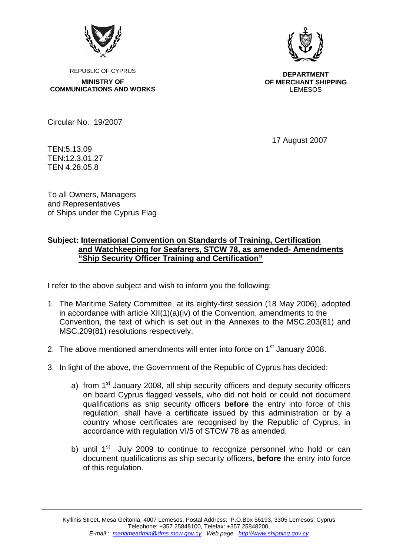

REPUBLIC OF CYPRUS

**MINISTRY OF COMMUNICATIONS AND WORKS** 



**DEPARTMENT OF MERCHANT SHIPPING** LEMESOS

Circular No. 19/2007

17 August 2007

TEN:5.13.09 TEN:12.3.01.27 TEN 4.28.05.8

To all Owners, Managers and Representatives of Ships under the Cyprus Flag

## **Subject: International Convention on Standards of Training, Certification and Watchkeeping for Seafarers, STCW 78, as amended- Amendments "Ship Security Officer Training and Certification"**

I refer to the above subject and wish to inform you the following:

- 1. The Maritime Safety Committee, at its eighty-first session (18 May 2006), adopted in accordance with article  $XII(1)(a)(iv)$  of the Convention, amendments to the Convention, the text of which is set out in the Annexes to the MSC.203(81) and MSC.209(81) resolutions respectively.
- 2. The above mentioned amendments will enter into force on 1<sup>st</sup> January 2008.
- 3. In light of the above, the Government of the Republic of Cyprus has decided:
	- a) from  $1<sup>st</sup>$  January 2008, all ship security officers and deputy security officers on board Cyprus flagged vessels, who did not hold or could not document qualifications as ship security officers **before** the entry into force of this regulation, shall have a certificate issued by this administration or by a country whose certificates are recognised by the Republic of Cyprus, in accordance with regulation VI/5 of STCW 78 as amended.
	- b) until  $1<sup>st</sup>$  July 2009 to continue to recognize personnel who hold or can document qualifications as ship security officers, **before** the entry into force of this regulation.

Kyllinis Street, Mesa Geitonia, 4007 Lemesos, Postal Address: P.O.Box 56193, 3305 Lemesos, Cyprus Telephone: +357 25848100, Telefax: +357 25848200, *E-mail : maritimeadmin@dms.mcw.gov.cy, Web page http://www.shipping.gov.cy*